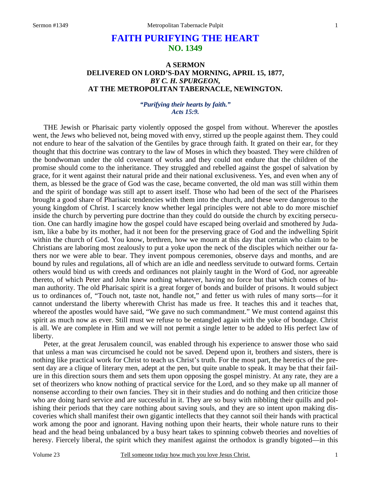# **FAITH PURIFYING THE HEART NO. 1349**

## **A SERMON DELIVERED ON LORD'S-DAY MORNING, APRIL 15, 1877,**  *BY C. H. SPURGEON,*  **AT THE METROPOLITAN TABERNACLE, NEWINGTON.**

### *"Purifying their hearts by faith." Acts 15:9.*

THE Jewish or Pharisaic party violently opposed the gospel from without. Wherever the apostles went, the Jews who believed not, being moved with envy, stirred up the people against them. They could not endure to hear of the salvation of the Gentiles by grace through faith. It grated on their ear, for they thought that this doctrine was contrary to the law of Moses in which they boasted. They were children of the bondwoman under the old covenant of works and they could not endure that the children of the promise should come to the inheritance. They struggled and rebelled against the gospel of salvation by grace, for it went against their natural pride and their national exclusiveness. Yes, and even when any of them, as blessed be the grace of God was the case, became converted, the old man was still within them and the spirit of bondage was still apt to assert itself. Those who had been of the sect of the Pharisees brought a good share of Pharisaic tendencies with them into the church, and these were dangerous to the young kingdom of Christ. I scarcely know whether legal principles were not able to do more mischief inside the church by perverting pure doctrine than they could do outside the church by exciting persecution. One can hardly imagine how the gospel could have escaped being overlaid and smothered by Judaism, like a babe by its mother, had it not been for the preserving grace of God and the indwelling Spirit within the church of God. You know, brethren, how we mourn at this day that certain who claim to be Christians are laboring most zealously to put a yoke upon the neck of the disciples which neither our fathers nor we were able to bear. They invent pompous ceremonies, observe days and months, and are bound by rules and regulations, all of which are an idle and needless servitude to outward forms. Certain others would bind us with creeds and ordinances not plainly taught in the Word of God, nor agreeable thereto, of which Peter and John knew nothing whatever, having no force but that which comes of human authority. The old Pharisaic spirit is a great forger of bonds and builder of prisons. It would subject us to ordinances of, "Touch not, taste not, handle not," and fetter us with rules of many sorts—for it cannot understand the liberty wherewith Christ has made us free. It teaches this and it teaches that, whereof the apostles would have said, "We gave no such commandment." We must contend against this spirit as much now as ever. Still must we refuse to be entangled again with the yoke of bondage. Christ is all. We are complete in Him and we will not permit a single letter to be added to His perfect law of liberty.

Peter, at the great Jerusalem council, was enabled through his experience to answer those who said that unless a man was circumcised he could not be saved. Depend upon it, brothers and sisters, there is nothing like practical work for Christ to teach us Christ's truth. For the most part, the heretics of the present day are a clique of literary men, adept at the pen, but quite unable to speak. It may be that their failure in this direction sours them and sets them upon opposing the gospel ministry. At any rate, they are a set of theorizers who know nothing of practical service for the Lord, and so they make up all manner of nonsense according to their own fancies. They sit in their studies and do nothing and then criticize those who are doing hard service and are successful in it. They are so busy with nibbling their quills and polishing their periods that they care nothing about saving souls, and they are so intent upon making discoveries which shall manifest their own gigantic intellects that they cannot soil their hands with practical work among the poor and ignorant. Having nothing upon their hearts, their whole nature runs to their head and the head being unbalanced by a busy heart takes to spinning cobweb theories and novelties of heresy. Fiercely liberal, the spirit which they manifest against the orthodox is grandly bigoted—in this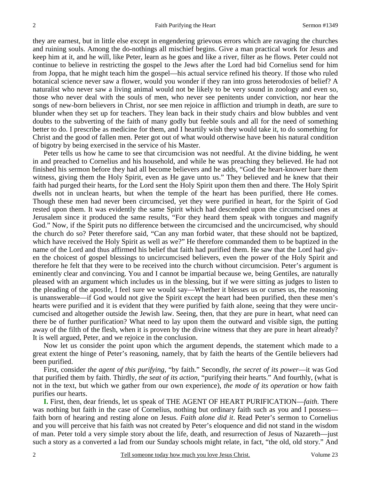they are earnest, but in little else except in engendering grievous errors which are ravaging the churches and ruining souls. Among the do-nothings all mischief begins. Give a man practical work for Jesus and keep him at it, and he will, like Peter, learn as he goes and like a river, filter as he flows. Peter could not continue to believe in restricting the gospel to the Jews after the Lord had bid Cornelius send for him from Joppa, that he might teach him the gospel—his actual service refined his theory. If those who ruled botanical science never saw a flower, would you wonder if they ran into gross heterodoxies of belief? A naturalist who never saw a living animal would not be likely to be very sound in zoology and even so, those who never deal with the souls of men, who never see penitents under conviction, nor hear the songs of new-born believers in Christ, nor see men rejoice in affliction and triumph in death, are sure to blunder when they set up for teachers. They lean back in their study chairs and blow bubbles and vent doubts to the subverting of the faith of many godly but feeble souls and all for the need of something better to do. I prescribe as medicine for them, and I heartily wish they would take it, to do something for Christ and the good of fallen men. Peter got out of what would otherwise have been his natural condition of bigotry by being exercised in the service of his Master.

Peter tells us how he came to see that circumcision was not needful. At the divine bidding, he went in and preached to Cornelius and his household, and while he was preaching they believed. He had not finished his sermon before they had all become believers and he adds, "God the heart-knower bare them witness, giving them the Holy Spirit, even as He gave unto us." They believed and he knew that their faith had purged their hearts, for the Lord sent the Holy Spirit upon them then and there. The Holy Spirit dwells not in unclean hearts, but when the temple of the heart has been purified, there He comes. Though these men had never been circumcised, yet they were purified in heart, for the Spirit of God rested upon them. It was evidently the same Spirit which had descended upon the circumcised ones at Jerusalem since it produced the same results, "For they heard them speak with tongues and magnify God." Now, if the Spirit puts no difference between the circumcised and the uncircumcised, why should the church do so? Peter therefore said, "Can any man forbid water, that these should not be baptized, which have received the Holy Spirit as well as we?" He therefore commanded them to be baptized in the name of the Lord and thus affirmed his belief that faith had purified them. He saw that the Lord had given the choicest of gospel blessings to uncircumcised believers, even the power of the Holy Spirit and therefore he felt that they were to be received into the church without circumcision. Peter's argument is eminently clear and convincing. You and I cannot be impartial because we, being Gentiles, are naturally pleased with an argument which includes us in the blessing, but if we were sitting as judges to listen to the pleading of the apostle, I feel sure we would say—Whether it blesses us or curses us, the reasoning is unanswerable—if God would not give the Spirit except the heart had been purified, then these men's hearts were purified and it is evident that they were purified by faith alone, seeing that they were uncircumcised and altogether outside the Jewish law. Seeing, then, that they are pure in heart, what need can there be of further purification? What need to lay upon them the outward and visible sign, the putting away of the filth of the flesh, when it is proven by the divine witness that they are pure in heart already? It is well argued, Peter, and we rejoice in the conclusion.

Now let us consider the point upon which the argument depends, the statement which made to a great extent the hinge of Peter's reasoning, namely, that by faith the hearts of the Gentile believers had been purified.

First, consider *the agent of this purifying,* "by faith." Secondly, *the secret of its power*—it was God that purified them by faith. Thirdly, *the seat of its action,* "purifying their hearts." And fourthly, (what is not in the text, but which we gather from our own experience), *the mode of its operation* or how faith purifies our hearts.

**I.** First, then, dear friends, let us speak of THE AGENT OF HEART PURIFICATION—*faith.* There was nothing but faith in the case of Cornelius, nothing but ordinary faith such as you and I possess faith born of hearing and resting alone on Jesus. *Faith alone did it*. Read Peter's sermon to Cornelius and you will perceive that his faith was not created by Peter's eloquence and did not stand in the wisdom of man. Peter told a very simple story about the life, death, and resurrection of Jesus of Nazareth—just such a story as a converted a lad from our Sunday schools might relate, in fact, "the old, old story." And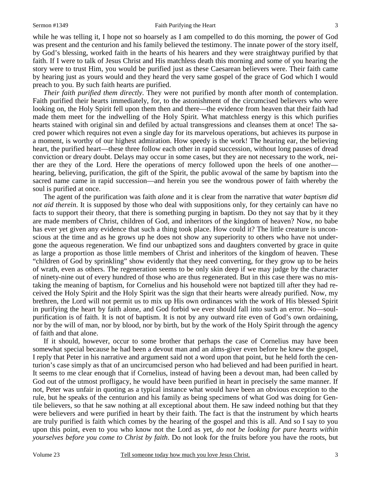#### Sermon #1349 Faith Purifying the Heart

while he was telling it, I hope not so hoarsely as I am compelled to do this morning, the power of God was present and the centurion and his family believed the testimony. The innate power of the story itself, by God's blessing, worked faith in the hearts of his hearers and they were straightway purified by that faith. If I were to talk of Jesus Christ and His matchless death this morning and some of you hearing the story were to trust Him, you would be purified just as these Caesarean believers were. Their faith came by hearing just as yours would and they heard the very same gospel of the grace of God which I would preach to you. By such faith hearts are purified.

*Their faith purified them directly*. They were not purified by month after month of contemplation. Faith purified their hearts immediately, for, to the astonishment of the circumcised believers who were looking on, the Holy Spirit fell upon them then and there—the evidence from heaven that their faith had made them meet for the indwelling of the Holy Spirit. What matchless energy is this which purifies hearts stained with original sin and defiled by actual transgressions and cleanses them at once! The sacred power which requires not even a single day for its marvelous operations, but achieves its purpose in a moment, is worthy of our highest admiration. How speedy is the work! The hearing ear, the believing heart, the purified heart—these three follow each other in rapid succession, without long pauses of dread conviction or dreary doubt. Delays may occur in some cases, but they are not necessary to the work, neither are they of the Lord. Here the operations of mercy followed upon the heels of one another hearing, believing, purification, the gift of the Spirit, the public avowal of the same by baptism into the sacred name came in rapid succession—and herein you see the wondrous power of faith whereby the soul is purified at once.

The agent of the purification was faith *alone* and it is clear from the narrative that *water baptism did not aid therein*. It is supposed by those who deal with suppositions only, for they certainly can have no facts to support their theory, that there is something purging in baptism. Do they not say that by it they are made members of Christ, children of God, and inheritors of the kingdom of heaven? Now, no babe has ever yet given any evidence that such a thing took place. How could it? The little creature is unconscious at the time and as he grows up he does not show any superiority to others who have not undergone the aqueous regeneration. We find our unbaptized sons and daughters converted by grace in quite as large a proportion as those little members of Christ and inheritors of the kingdom of heaven. These "children of God by sprinkling" show evidently that they need converting, for they grow up to be heirs of wrath, even as others. The regeneration seems to be only skin deep if we may judge by the character of ninety-nine out of every hundred of those who are thus regenerated. But in this case there was no mistaking the meaning of baptism, for Cornelius and his household were not baptized till after they had received the Holy Spirit and the Holy Spirit was the sign that their hearts were already purified. Now, my brethren, the Lord will not permit us to mix up His own ordinances with the work of His blessed Spirit in purifying the heart by faith alone, and God forbid we ever should fall into such an error. No—soulpurification is of faith. It is not of baptism. It is not by any outward rite even of God's own ordaining, nor by the will of man, nor by blood, nor by birth, but by the work of the Holy Spirit through the agency of faith and that alone.

If it should, however, occur to some brother that perhaps the case of Cornelius may have been somewhat special because he had been a devout man and an alms-giver even before he knew the gospel, I reply that Peter in his narrative and argument said not a word upon that point, but he held forth the centurion's case simply as that of an uncircumcised person who had believed and had been purified in heart. It seems to me clear enough that if Cornelius, instead of having been a devout man, had been called by God out of the utmost profligacy, he would have been purified in heart in precisely the same manner. If not, Peter was unfair in quoting as a typical instance what would have been an obvious exception to the rule, but he speaks of the centurion and his family as being specimens of what God was doing for Gentile believers, so that he saw nothing at all exceptional about them. He saw indeed nothing but that they were believers and were purified in heart by their faith. The fact is that the instrument by which hearts are truly purified is faith which comes by the hearing of the gospel and this is all. And so I say to you upon this point, even to you who know not the Lord as yet, *do not be looking for pure hearts within yourselves before you come to Christ by faith*. Do not look for the fruits before you have the roots, but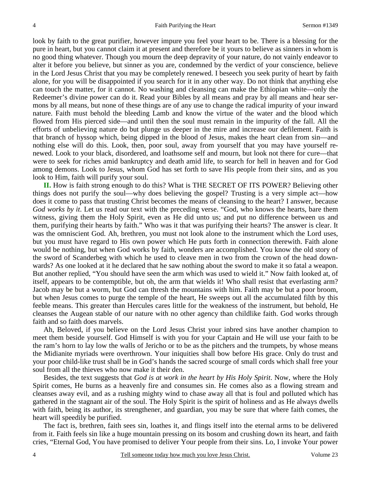look by faith to the great purifier, however impure you feel your heart to be. There is a blessing for the pure in heart, but you cannot claim it at present and therefore be it yours to believe as sinners in whom is no good thing whatever. Though you mourn the deep depravity of your nature, do not vainly endeavor to alter it before you believe, but sinner as you are, condemned by the verdict of your conscience, believe in the Lord Jesus Christ that you may be completely renewed. I beseech you seek purity of heart by faith alone, for you will be disappointed if you search for it in any other way. Do not think that anything else can touch the matter, for it cannot. No washing and cleansing can make the Ethiopian white—only the Redeemer's divine power can do it. Read your Bibles by all means and pray by all means and hear sermons by all means, but none of these things are of any use to change the radical impurity of your inward nature. Faith must behold the bleeding Lamb and know the virtue of the water and the blood which flowed from His pierced side—and until then the soul must remain in the impurity of the fall. All the efforts of unbelieving nature do but plunge us deeper in the mire and increase our defilement. Faith is that branch of hyssop which, being dipped in the blood of Jesus, makes the heart clean from sin—and nothing else will do this. Look, then, poor soul, away from yourself that you may have yourself renewed. Look to your black, disordered, and loathsome self and mourn, but look not there for cure—that were to seek for riches amid bankruptcy and death amid life, to search for hell in heaven and for God among demons. Look to Jesus, whom God has set forth to save His people from their sins, and as you look to Him, faith will purify your soul.

**II.** How is faith strong enough to do this? What is THE SECRET OF ITS POWER? Believing other things does not purify the soul—why does believing the gospel? Trusting is a very simple act—how does it come to pass that trusting Christ becomes the means of cleansing to the heart? I answer, because *God works by it*. Let us read our text with the preceding verse. "God, who knows the hearts, bare them witness, giving them the Holy Spirit, even as He did unto us; and put no difference between us and them, purifying their hearts by faith." Who was it that was purifying their hearts? The answer is clear. It was the omniscient God. Ah, brethren, you must not look alone to the instrument which the Lord uses, but you must have regard to His own power which He puts forth in connection therewith. Faith alone would be nothing, but when God works by faith, wonders are accomplished. You know the old story of the sword of Scanderbeg with which he used to cleave men in two from the crown of the head downwards? As one looked at it he declared that he saw nothing about the sword to make it so fatal a weapon. But another replied, "You should have seen the arm which was used to wield it." Now faith looked at, of itself, appears to be contemptible, but oh, the arm that wields it! Who shall resist that everlasting arm? Jacob may be but a worm, but God can thresh the mountains with him. Faith may be but a poor broom, but when Jesus comes to purge the temple of the heart, He sweeps out all the accumulated filth by this feeble means. This greater than Hercules cares little for the weakness of the instrument, but behold, He cleanses the Augean stable of our nature with no other agency than childlike faith. God works through faith and so faith does marvels.

Ah, Beloved, if you believe on the Lord Jesus Christ your inbred sins have another champion to meet them beside yourself. God Himself is with you for your Captain and He will use your faith to be the ram's horn to lay low the walls of Jericho or to be as the pitchers and the trumpets, by whose means the Midianite myriads were overthrown. Your iniquities shall bow before His grace. Only do trust and your poor child-like trust shall be in God's hands the sacred scourge of small cords which shall free your soul from all the thieves who now make it their den.

Besides, the text suggests that *God is at work in the heart by His Holy Spirit*. Now, where the Holy Spirit comes, He burns as a heavenly fire and consumes sin. He comes also as a flowing stream and cleanses away evil, and as a rushing mighty wind to chase away all that is foul and polluted which has gathered in the stagnant air of the soul. The Holy Spirit is the spirit of holiness and as He always dwells with faith, being its author, its strengthener, and guardian, you may be sure that where faith comes, the heart will speedily be purified.

The fact is, brethren, faith sees sin, loathes it, and flings itself into the eternal arms to be delivered from it. Faith feels sin like a huge mountain pressing on its bosom and crushing down its heart, and faith cries, "Eternal God, You have promised to deliver Your people from their sins. Lo, I invoke Your power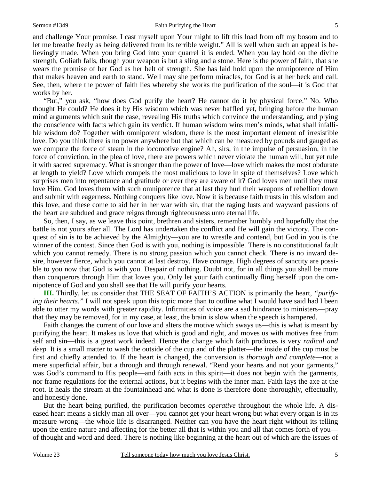and challenge Your promise. I cast myself upon Your might to lift this load from off my bosom and to let me breathe freely as being delivered from its terrible weight." All is well when such an appeal is believingly made. When you bring God into your quarrel it is ended. When you lay hold on the divine strength, Goliath falls, though your weapon is but a sling and a stone. Here is the power of faith, that she wears the promise of her God as her belt of strength. She has laid hold upon the omnipotence of Him that makes heaven and earth to stand. Well may she perform miracles, for God is at her beck and call. See, then, where the power of faith lies whereby she works the purification of the soul—it is God that works by her.

"But," you ask, "how does God purify the heart? He cannot do it by physical force." No. Who thought He could? He does it by His wisdom which was never baffled yet, bringing before the human mind arguments which suit the case, revealing His truths which convince the understanding, and plying the conscience with facts which gain its verdict. If human wisdom wins men's minds, what shall infallible wisdom do? Together with omnipotent wisdom, there is the most important element of irresistible love. Do you think there is no power anywhere but that which can be measured by pounds and gauged as we compute the force of steam in the locomotive engine? Ah, sirs, in the impulse of persuasion, in the force of conviction, in the plea of love, there are powers which never violate the human will, but yet rule it with sacred supremacy. What is stronger than the power of love—love which makes the most obdurate at length to yield? Love which compels the most malicious to love in spite of themselves? Love which surprises men into repentance and gratitude or ever they are aware of it? God loves men until they must love Him. God loves them with such omnipotence that at last they hurl their weapons of rebellion down and submit with eagerness. Nothing conquers like love. Now it is because faith trusts in this wisdom and this love, and these come to aid her in her war with sin, that the raging lusts and wayward passions of the heart are subdued and grace reigns through righteousness unto eternal life.

So, then, I say, as we leave this point, brethren and sisters, remember humbly and hopefully that the battle is not yours after all. The Lord has undertaken the conflict and He will gain the victory. The conquest of sin is to be achieved by the Almighty—you are to wrestle and contend, but God in you is the winner of the contest. Since then God is with you, nothing is impossible. There is no constitutional fault which you cannot remedy. There is no strong passion which you cannot check. There is no inward desire, however fierce, which you cannot at last destroy. Have courage. High degrees of sanctity are possible to you now that God is with you. Despair of nothing. Doubt not, for in all things you shall be more than conquerors through Him that loves you. Only let your faith continually fling herself upon the omnipotence of God and you shall see that He will purify your hearts.

**III.** Thirdly, let us consider that THE SEAT OF FAITH'S ACTION is primarily the heart, *"purifying their hearts."* I will not speak upon this topic more than to outline what I would have said had I been able to utter my words with greater rapidity. Infirmities of voice are a sad hindrance to ministers—pray that they may be removed, for in my case, at least, the brain is slow when the speech is hampered.

Faith changes the current of our love and alters the motive which sways us—this is what is meant by purifying the heart. It makes us love that which is good and right, and moves us with motives free from self and sin—this is a great work indeed. Hence the change which faith produces is very *radical and deep.* It is a small matter to wash the outside of the cup and of the platter—the inside of the cup must be first and chiefly attended to. If the heart is changed, the conversion is *thorough and complete*—not a mere superficial affair, but a through and through renewal. "Rend your hearts and not your garments," was God's command to His people—and faith acts in this spirit—it does not begin with the garments, nor frame regulations for the external actions, but it begins with the inner man. Faith lays the axe at the root. It heals the stream at the fountainhead and what is done is therefore done thoroughly, effectually, and honestly done.

But the heart being purified, the purification becomes *operative* throughout the whole life. A diseased heart means a sickly man all over—you cannot get your heart wrong but what every organ is in its measure wrong—the whole life is disarranged. Neither can you have the heart right without its telling upon the entire nature and affecting for the better all that is within you and all that comes forth of you of thought and word and deed. There is nothing like beginning at the heart out of which are the issues of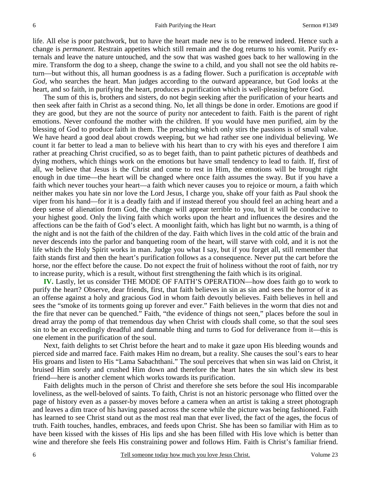life. All else is poor patchwork, but to have the heart made new is to be renewed indeed. Hence such a change is *permanent*. Restrain appetites which still remain and the dog returns to his vomit. Purify externals and leave the nature untouched, and the sow that was washed goes back to her wallowing in the mire. Transform the dog to a sheep, change the swine to a child, and you shall not see the old habits return—but without this, all human goodness is as a fading flower. Such a purification is *acceptable with God,* who searches the heart. Man judges according to the outward appearance, but God looks at the heart, and so faith, in purifying the heart, produces a purification which is well-pleasing before God.

The sum of this is, brothers and sisters, do not begin seeking after the purification of your hearts and then seek after faith in Christ as a second thing. No, let all things be done in order. Emotions are good if they are good, but they are not the source of purity nor antecedent to faith. Faith is the parent of right emotions. Never confound the mother with the children. If you would have men purified, aim by the blessing of God to produce faith in them. The preaching which only stirs the passions is of small value. We have heard a good deal about crowds weeping, but we had rather see one individual believing. We count it far better to lead a man to believe with his heart than to cry with his eyes and therefore I aim rather at preaching Christ crucified, so as to beget faith, than to paint pathetic pictures of deathbeds and dying mothers, which things work on the emotions but have small tendency to lead to faith. If, first of all, we believe that Jesus is the Christ and come to rest in Him, the emotions will be brought right enough in due time—the heart will be changed where once faith assumes the sway. But if you have a faith which never touches your heart—a faith which never causes you to rejoice or mourn, a faith which neither makes you hate sin nor love the Lord Jesus, I charge you, shake off your faith as Paul shook the viper from his hand—for it is a deadly faith and if instead thereof you should feel an aching heart and a deep sense of alienation from God, the change will appear terrible to you, but it will be conducive to your highest good. Only the living faith which works upon the heart and influences the desires and the affections can be the faith of God's elect. A moonlight faith, which has light but no warmth, is a thing of the night and is not the faith of the children of the day. Faith which lives in the cold attic of the brain and never descends into the parlor and banqueting room of the heart, will starve with cold, and it is not the life which the Holy Spirit works in man. Judge you what I say, but if you forget all, still remember that faith stands first and then the heart's purification follows as a consequence. Never put the cart before the horse, nor the effect before the cause. Do not expect the fruit of holiness without the root of faith, nor try to increase purity, which is a result, without first strengthening the faith which is its original.

**IV.** Lastly, let us consider THE MODE OF FAITH'S OPERATION—how does faith go to work to purify the heart? Observe, dear friends, first, that faith believes in sin as sin and sees the horror of it as an offense against a holy and gracious God in whom faith devoutly believes. Faith believes in hell and sees the "smoke of its torments going up forever and ever." Faith believes in the worm that dies not and the fire that never can be quenched." Faith, "the evidence of things not seen," places before the soul in dread array the pomp of that tremendous day when Christ with clouds shall come, so that the soul sees sin to be an exceedingly dreadful and damnable thing and turns to God for deliverance from it—this is one element in the purification of the soul.

Next, faith delights to set Christ before the heart and to make it gaze upon His bleeding wounds and pierced side and marred face. Faith makes Him no dream, but a reality. She causes the soul's ears to hear His groans and listen to His "Lama Sabachthani." The soul perceives that when sin was laid on Christ, it bruised Him sorely and crushed Him down and therefore the heart hates the sin which slew its best friend—here is another clement which works towards its purification.

Faith delights much in the person of Christ and therefore she sets before the soul His incomparable loveliness, as the well-beloved of saints. To faith, Christ is not an historic personage who flitted over the page of history even as a passer-by moves before a camera when an artist is taking a street photograph and leaves a dim trace of his having passed across the scene while the picture was being fashioned. Faith has learned to see Christ stand out as the most real man that ever lived, the fact of the ages, the focus of truth. Faith touches, handles, embraces, and feeds upon Christ. She has been so familiar with Him as to have been kissed with the kisses of His lips and she has been filled with His love which is better than wine and therefore she feels His constraining power and follows Him. Faith is Christ's familiar friend.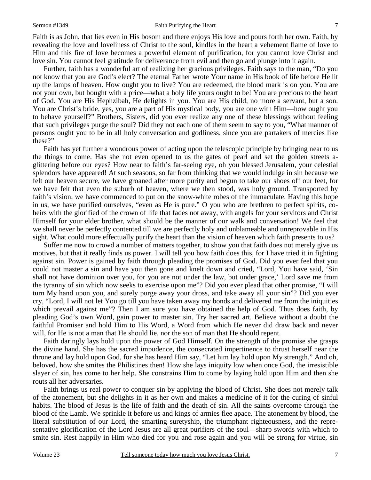#### Sermon #1349 Faith Purifying the Heart

Faith is as John, that lies even in His bosom and there enjoys His love and pours forth her own. Faith, by revealing the love and loveliness of Christ to the soul, kindles in the heart a vehement flame of love to Him and this fire of love becomes a powerful element of purification, for you cannot love Christ and love sin. You cannot feel gratitude for deliverance from evil and then go and plunge into it again.

Further, faith has a wonderful art of realizing her gracious privileges. Faith says to the man, "Do you not know that you are God's elect? The eternal Father wrote Your name in His book of life before He lit up the lamps of heaven. How ought you to live? You are redeemed, the blood mark is on you. You are not your own, but bought with a price—what a holy life yours ought to be! You are precious to the heart of God. You are His Hephzibah, He delights in you. You are His child, no more a servant, but a son. You are Christ's bride, yes, you are a part of His mystical body, you are one with Him—how ought you to behave yourself?" Brothers, Sisters, did you ever realize any one of these blessings without feeling that such privileges purge the soul? Did they not each one of them seem to say to you, "What manner of persons ought you to be in all holy conversation and godliness, since you are partakers of mercies like these?"

Faith has yet further a wondrous power of acting upon the telescopic principle by bringing near to us the things to come. Has she not even opened to us the gates of pearl and set the golden streets aglittering before our eyes? How near to faith's far-seeing eye, oh you blessed Jerusalem, your celestial splendors have appeared! At such seasons, so far from thinking that we would indulge in sin because we felt our heaven secure, we have groaned after more purity and begun to take our shoes off our feet, for we have felt that even the suburb of heaven, where we then stood, was holy ground. Transported by faith's vision, we have commenced to put on the snow-white robes of the immaculate. Having this hope in us, we have purified ourselves, "even as He is pure." O you who are brethren to perfect spirits, coheirs with the glorified of the crown of life that fades not away, with angels for your servitors and Christ Himself for your elder brother, what should be the manner of our walk and conversation! We feel that we shall never be perfectly contented till we are perfectly holy and unblameable and unreprovable in His sight. What could more effectually purify the heart than the vision of heaven which faith presents to us?

Suffer me now to crowd a number of matters together, to show you that faith does not merely give us motives, but that it really finds us power. I will tell you how faith does this, for I have tried it in fighting against sin. Power is gained by faith through pleading the promises of God. Did you ever feel that you could not master a sin and have you then gone and knelt down and cried, "Lord, You have said, 'Sin shall not have dominion over you, for you are not under the law, but under grace,' Lord save me from the tyranny of sin which now seeks to exercise upon me"? Did you ever plead that other promise, "I will turn My hand upon you, and surely purge away your dross, and take away all your sin"? Did you ever cry, "Lord, I will not let You go till you have taken away my bonds and delivered me from the iniquities which prevail against me"? Then I am sure you have obtained the help of God. Thus does faith, by pleading God's own Word, gain power to master sin. Try her sacred art. Believe without a doubt the faithful Promiser and hold Him to His Word, a Word from which He never did draw back and never will, for He is not a man that He should lie, nor the son of man that He should repent.

Faith daringly lays hold upon the power of God Himself. On the strength of the promise she grasps the divine hand. She has the sacred impudence, the consecrated impertinence to thrust herself near the throne and lay hold upon God, for she has heard Him say, "Let him lay hold upon My strength." And oh, beloved, how she smites the Philistines then! How she lays iniquity low when once God, the irresistible slayer of sin, has come to her help. She constrains Him to come by laying hold upon Him and then she routs all her adversaries.

Faith brings us real power to conquer sin by applying the blood of Christ. She does not merely talk of the atonement, but she delights in it as her own and makes a medicine of it for the curing of sinful habits. The blood of Jesus is the life of faith and the death of sin. All the saints overcome through the blood of the Lamb. We sprinkle it before us and kings of armies flee apace. The atonement by blood, the literal substitution of our Lord, the smarting suretyship, the triumphant righteousness, and the representative glorification of the Lord Jesus are all great purifiers of the soul—sharp swords with which to smite sin. Rest happily in Him who died for you and rose again and you will be strong for virtue, sin